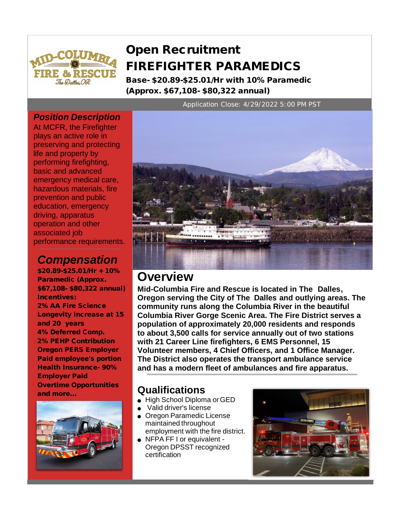

# **Open Recruitment FIREFIGHTER PARAMEDICS**

**Base- \$20.89-\$25.01/Hr with 10% Paramedic (Approx. \$67,108- \$80,322 annual)**

Application Close: 4/29/2022 5:00 PM PST

## *Position Description*

At MCFR, the Firefighter plays an active role in preserving and protecting life and property by performing firefighting, basic and advanced emergency medical care, hazardous materials, fire prevention and public education, emergency driving, apparatus operation and other associated job performance requirements.

# *Compensation*

**\$20.89-\$25.01/Hr + 10% Paramedic (Approx. \$67,108- \$80,322 annual) Incentives: 2% AA Fire Science Longevity increase at 15 and 20 years 4% Deferred Comp. 2% PEHP Contribution Oregon PERS Employer Paid employee's portion Health Insurance- 90% Employer Paid Overtime Opportunities and more... Qualifications**





# **Overview**

**Mid-Columbia Fire and Rescue is located in The Dalles, Oregon serving the City of The Dalles and outlying areas. The community runs along the Columbia River in the beautiful Columbia River Gorge Scenic Area. The Fire District serves a population of approximately 20,000 residents and responds to about 3,500 calls for service annually out of two stations with 21 Career Line firefighters, 6 EMS Personnel, 15 Volunteer members, 4 Chief Officers, and 1 Office Manager. The District also operates the transport ambulance service and has a modern fleet of ambulances and fire apparatus.**

- High School Diploma or GED
- Valid driver's license
- Oregon Paramedic License maintained throughout employment with the fire district.
- NFPA FF I or equivalent -Oregon DPSST recognized certification